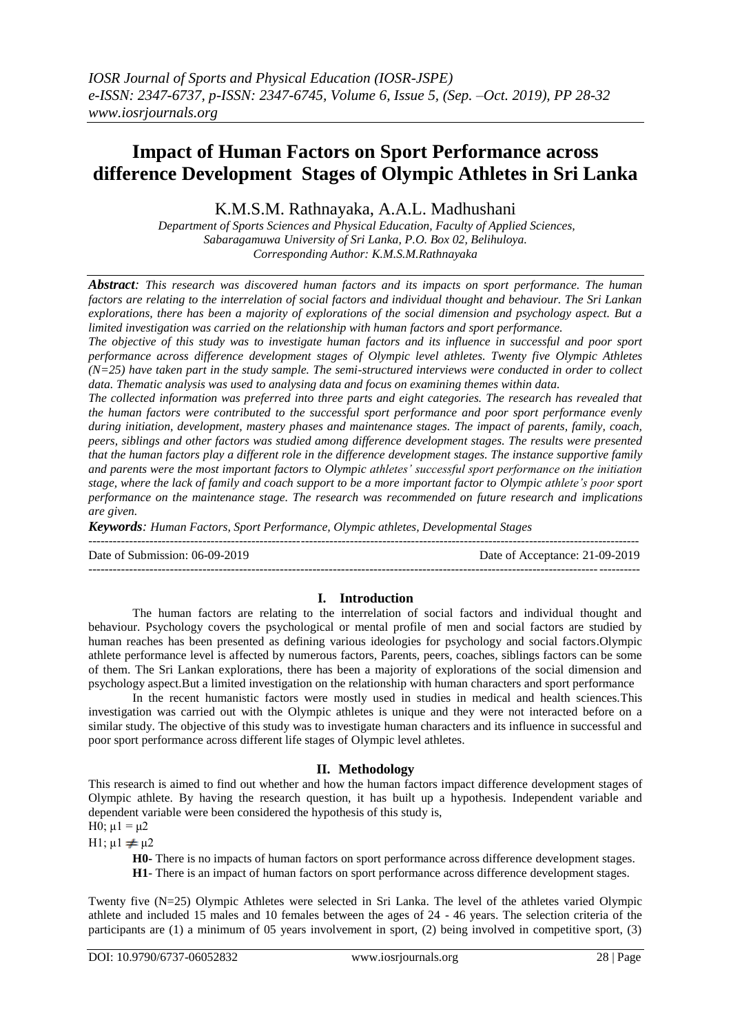# **Impact of Human Factors on Sport Performance across difference Development Stages of Olympic Athletes in Sri Lanka**

K.M.S.M. Rathnayaka, A.A.L. Madhushani

*Department of Sports Sciences and Physical Education, Faculty of Applied Sciences, Sabaragamuwa University of Sri Lanka, P.O. Box 02, Belihuloya. Corresponding Author: K.M.S.M.Rathnayaka*

*Abstract: This research was discovered human factors and its impacts on sport performance. The human factors are relating to the interrelation of social factors and individual thought and behaviour. The Sri Lankan explorations, there has been a majority of explorations of the social dimension and psychology aspect. But a limited investigation was carried on the relationship with human factors and sport performance.*

*The objective of this study was to investigate human factors and its influence in successful and poor sport performance across difference development stages of Olympic level athletes. Twenty five Olympic Athletes (N=25) have taken part in the study sample. The semi-structured interviews were conducted in order to collect data. Thematic analysis was used to analysing data and focus on examining themes within data.*

*The collected information was preferred into three parts and eight categories. The research has revealed that the human factors were contributed to the successful sport performance and poor sport performance evenly during initiation, development, mastery phases and maintenance stages. The impact of parents, family, coach, peers, siblings and other factors was studied among difference development stages. The results were presented that the human factors play a different role in the difference development stages. The instance supportive family and parents were the most important factors to Olympic athletes' successful sport performance on the initiation stage, where the lack of family and coach support to be a more important factor to Olympic athlete's poor sport performance on the maintenance stage. The research was recommended on future research and implications are given.*

*Keywords: Human Factors, Sport Performance, Olympic athletes, Developmental Stages*

--------------------------------------------------------------------------------------------------------------------------------------- Date of Submission: 06-09-2019 Date of Acceptance: 21-09-2019 ---------------------------------------------------------------------------------------------------------------------------------------

## **I. Introduction**

The human factors are relating to the interrelation of social factors and individual thought and behaviour. Psychology covers the psychological or mental profile of men and social factors are studied by human reaches has been presented as defining various ideologies for psychology and social factors.Olympic athlete performance level is affected by numerous factors, Parents, peers, coaches, siblings factors can be some of them. The Sri Lankan explorations, there has been a majority of explorations of the social dimension and psychology aspect.But a limited investigation on the relationship with human characters and sport performance

In the recent humanistic factors were mostly used in studies in medical and health sciences.This investigation was carried out with the Olympic athletes is unique and they were not interacted before on a similar study. The objective of this study was to investigate human characters and its influence in successful and poor sport performance across different life stages of Olympic level athletes.

## **II. Methodology**

This research is aimed to find out whether and how the human factors impact difference development stages of Olympic athlete. By having the research question, it has built up a hypothesis. Independent variable and dependent variable were been considered the hypothesis of this study is, H0;  $μ1 = μ2$ 

H1;  $\mu$ 1  $\neq \mu$ 2

**H0-** There is no impacts of human factors on sport performance across difference development stages.

**H1**- There is an impact of human factors on sport performance across difference development stages.

Twenty five (N=25) Olympic Athletes were selected in Sri Lanka. The level of the athletes varied Olympic athlete and included 15 males and 10 females between the ages of 24 - 46 years. The selection criteria of the participants are (1) a minimum of 05 years involvement in sport, (2) being involved in competitive sport, (3)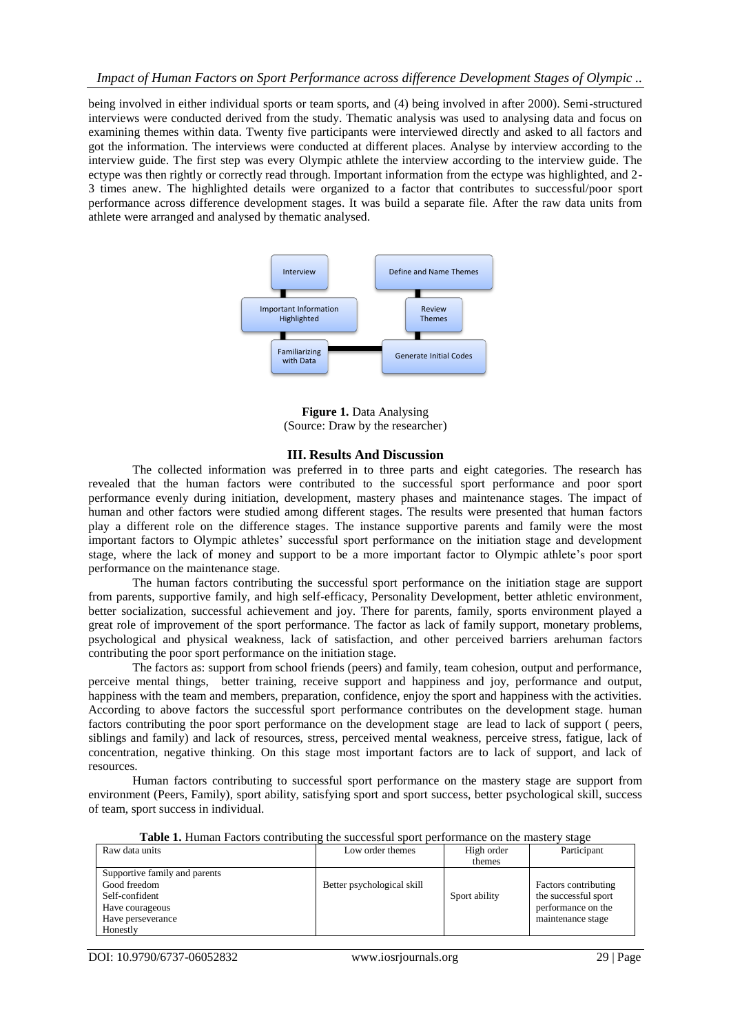being involved in either individual sports or team sports, and (4) being involved in after 2000). Semi-structured interviews were conducted derived from the study. Thematic analysis was used to analysing data and focus on examining themes within data. Twenty five participants were interviewed directly and asked to all factors and got the information. The interviews were conducted at different places. Analyse by interview according to the interview guide. The first step was every Olympic athlete the interview according to the interview guide. The ectype was then rightly or correctly read through. Important information from the ectype was highlighted, and 2- 3 times anew. The highlighted details were organized to a factor that contributes to successful/poor sport performance across difference development stages. It was build a separate file. After the raw data units from athlete were arranged and analysed by thematic analysed.



**Figure 1.** Data Analysing (Source: Draw by the researcher)

#### **III. Results And Discussion**

The collected information was preferred in to three parts and eight categories. The research has revealed that the human factors were contributed to the successful sport performance and poor sport performance evenly during initiation, development, mastery phases and maintenance stages. The impact of human and other factors were studied among different stages. The results were presented that human factors play a different role on the difference stages. The instance supportive parents and family were the most important factors to Olympic athletes' successful sport performance on the initiation stage and development stage, where the lack of money and support to be a more important factor to Olympic athlete's poor sport performance on the maintenance stage.

The human factors contributing the successful sport performance on the initiation stage are support from parents, supportive family, and high self-efficacy, Personality Development, better athletic environment, better socialization, successful achievement and joy. There for parents, family, sports environment played a great role of improvement of the sport performance. The factor as lack of family support, monetary problems, psychological and physical weakness, lack of satisfaction, and other perceived barriers arehuman factors contributing the poor sport performance on the initiation stage.

The factors as: support from school friends (peers) and family, team cohesion, output and performance, perceive mental things, better training, receive support and happiness and joy, performance and output, happiness with the team and members, preparation, confidence, enjoy the sport and happiness with the activities. According to above factors the successful sport performance contributes on the development stage. human factors contributing the poor sport performance on the development stage are lead to lack of support ( peers, siblings and family) and lack of resources, stress, perceived mental weakness, perceive stress, fatigue, lack of concentration, negative thinking. On this stage most important factors are to lack of support, and lack of resources.

Human factors contributing to successful sport performance on the mastery stage are support from environment (Peers, Family), sport ability, satisfying sport and sport success, better psychological skill, success of team, sport success in individual.

| Raw data units                | Low order themes           | High order    | Participant          |
|-------------------------------|----------------------------|---------------|----------------------|
|                               |                            | themes        |                      |
| Supportive family and parents |                            |               |                      |
| Good freedom                  | Better psychological skill |               | Factors contributing |
| Self-confident                |                            | Sport ability | the successful sport |
| Have courageous               |                            |               | performance on the   |
| Have perseverance             |                            |               | maintenance stage    |
| Honestly                      |                            |               |                      |

**Table 1.** Human Factors contributing the successful sport performance on the mastery stage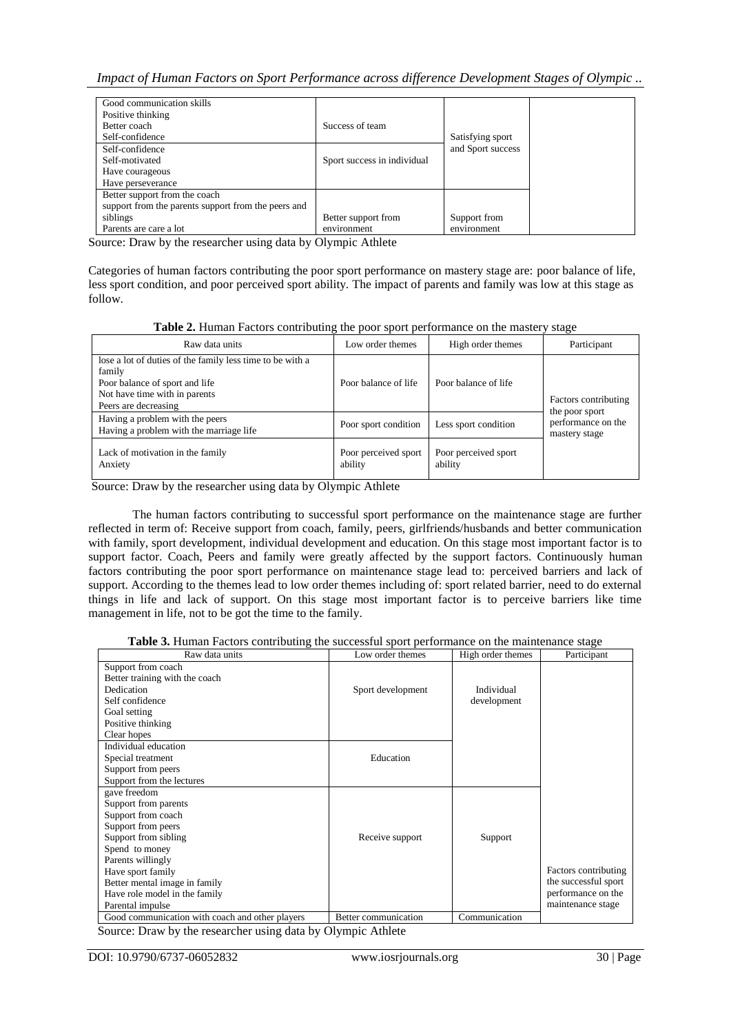## *Impact of Human Factors on Sport Performance across difference Development Stages of Olympic ..*

| Good communication skills                           |                             |                   |
|-----------------------------------------------------|-----------------------------|-------------------|
| Positive thinking                                   |                             |                   |
| Better coach                                        | Success of team             |                   |
| Self-confidence                                     |                             | Satisfying sport  |
| Self-confidence                                     |                             | and Sport success |
| Self-motivated                                      | Sport success in individual |                   |
| Have courageous                                     |                             |                   |
| Have perseverance                                   |                             |                   |
| Better support from the coach                       |                             |                   |
| support from the parents support from the peers and |                             |                   |
| siblings                                            | Better support from         | Support from      |
| Parents are care a lot                              | environment                 | environment       |

Source: Draw by the researcher using data by Olympic Athlete

Categories of human factors contributing the poor sport performance on mastery stage are: poor balance of life, less sport condition, and poor perceived sport ability. The impact of parents and family was low at this stage as follow.

**Table 2.** Human Factors contributing the poor sport performance on the mastery stage

| Raw data units                                                                                                                                                 | Low order themes                | High order themes               | Participant                            |
|----------------------------------------------------------------------------------------------------------------------------------------------------------------|---------------------------------|---------------------------------|----------------------------------------|
| lose a lot of duties of the family less time to be with a<br>family<br>Poor balance of sport and life<br>Not have time with in parents<br>Peers are decreasing | Poor balance of life            | Poor balance of life            | Factors contributing<br>the poor sport |
| Having a problem with the peers<br>Having a problem with the marriage life                                                                                     | Poor sport condition            | Less sport condition            | performance on the<br>mastery stage    |
| Lack of motivation in the family<br>Anxiety                                                                                                                    | Poor perceived sport<br>ability | Poor perceived sport<br>ability |                                        |

Source: Draw by the researcher using data by Olympic Athlete

The human factors contributing to successful sport performance on the maintenance stage are further reflected in term of: Receive support from coach, family, peers, girlfriends/husbands and better communication with family, sport development, individual development and education. On this stage most important factor is to support factor. Coach, Peers and family were greatly affected by the support factors. Continuously human factors contributing the poor sport performance on maintenance stage lead to: perceived barriers and lack of support. According to the themes lead to low order themes including of: sport related barrier, need to do external things in life and lack of support. On this stage most important factor is to perceive barriers like time management in life, not to be got the time to the family.

|  |  |  | Table 3. Human Factors contributing the successful sport performance on the maintenance stage |  |  |
|--|--|--|-----------------------------------------------------------------------------------------------|--|--|
|  |  |  |                                                                                               |  |  |

| Raw data units                                  | Low order themes     | High order themes | Participant          |
|-------------------------------------------------|----------------------|-------------------|----------------------|
| Support from coach                              |                      |                   |                      |
| Better training with the coach                  |                      |                   |                      |
| Dedication                                      | Sport development    | Individual        |                      |
| Self confidence                                 |                      | development       |                      |
| Goal setting                                    |                      |                   |                      |
| Positive thinking                               |                      |                   |                      |
| Clear hopes                                     |                      |                   |                      |
| Individual education                            |                      |                   |                      |
| Special treatment                               | Education            |                   |                      |
| Support from peers                              |                      |                   |                      |
| Support from the lectures                       |                      |                   |                      |
| gave freedom                                    |                      |                   |                      |
| Support from parents                            |                      |                   |                      |
| Support from coach                              |                      |                   |                      |
| Support from peers                              |                      |                   |                      |
| Support from sibling                            | Receive support      | Support           |                      |
| Spend to money                                  |                      |                   |                      |
| Parents willingly                               |                      |                   |                      |
| Have sport family                               |                      |                   | Factors contributing |
| Better mental image in family                   |                      |                   | the successful sport |
| Have role model in the family                   |                      |                   | performance on the   |
| Parental impulse                                |                      |                   | maintenance stage    |
| Good communication with coach and other players | Better communication | Communication     |                      |

Source: Draw by the researcher using data by Olympic Athlete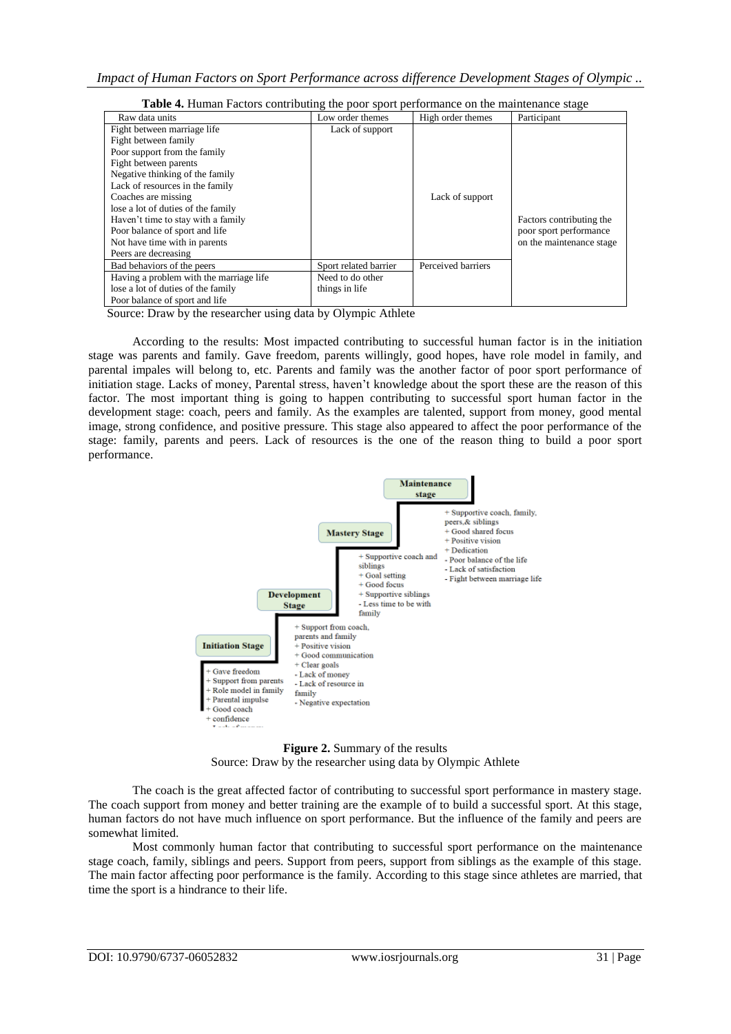| <b>Table 4.</b> Thurian Pactors contributing the poor sport performance on the mannehance stage |                       |                    |                          |
|-------------------------------------------------------------------------------------------------|-----------------------|--------------------|--------------------------|
| Raw data units                                                                                  | Low order themes      | High order themes  | Participant              |
| Fight between marriage life                                                                     | Lack of support       |                    |                          |
| Fight between family                                                                            |                       |                    |                          |
| Poor support from the family                                                                    |                       |                    |                          |
| Fight between parents                                                                           |                       |                    |                          |
| Negative thinking of the family                                                                 |                       |                    |                          |
| Lack of resources in the family                                                                 |                       |                    |                          |
| Coaches are missing                                                                             |                       | Lack of support    |                          |
| lose a lot of duties of the family                                                              |                       |                    |                          |
| Haven't time to stay with a family                                                              |                       |                    | Factors contributing the |
| Poor balance of sport and life                                                                  |                       |                    | poor sport performance   |
| Not have time with in parents                                                                   |                       |                    | on the maintenance stage |
| Peers are decreasing                                                                            |                       |                    |                          |
| Bad behaviors of the peers                                                                      | Sport related barrier | Perceived barriers |                          |
| Having a problem with the marriage life                                                         | Need to do other      |                    |                          |
| lose a lot of duties of the family                                                              | things in life        |                    |                          |
| Poor balance of sport and life                                                                  |                       |                    |                          |

**Table 4.** Human Factors contributing the poor sport performance on the maintenan

Source: Draw by the researcher using data by Olympic Athlete

According to the results: Most impacted contributing to successful human factor is in the initiation stage was parents and family. Gave freedom, parents willingly, good hopes, have role model in family, and parental impales will belong to, etc. Parents and family was the another factor of poor sport performance of initiation stage. Lacks of money, Parental stress, haven't knowledge about the sport these are the reason of this factor. The most important thing is going to happen contributing to successful sport human factor in the development stage: coach, peers and family. As the examples are talented, support from money, good mental image, strong confidence, and positive pressure. This stage also appeared to affect the poor performance of the stage: family, parents and peers. Lack of resources is the one of the reason thing to build a poor sport performance.



**Figure 2.** Summary of the results Source: Draw by the researcher using data by Olympic Athlete

The coach is the great affected factor of contributing to successful sport performance in mastery stage. The coach support from money and better training are the example of to build a successful sport. At this stage, human factors do not have much influence on sport performance. But the influence of the family and peers are somewhat limited.

Most commonly human factor that contributing to successful sport performance on the maintenance stage coach, family, siblings and peers. Support from peers, support from siblings as the example of this stage. The main factor affecting poor performance is the family. According to this stage since athletes are married, that time the sport is a hindrance to their life.